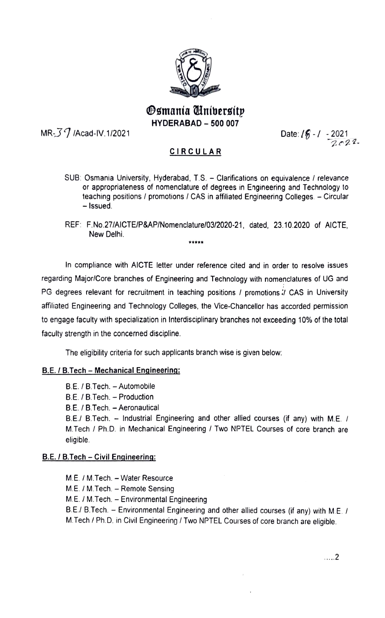

# smania Universitp **HYDERABAD - 500 007**

HYDERABAD - 500 007<br>Date: International Date: International Date: International Date: International Date: International Date: Inte

 $-2021$ <br>2022

## CIRCULAR

- SUB: Osmania University, Hyderabad, T.S. Clarifications on equivalence / relevance or appropriateness of nomenclature of degrees in Engineering and Technology to teaching positions / promotions / CAS in affiliated Engineering Colleges. - Circular - Issued.
- REF: F.No.27/AICTE/P&AP/Nomenclature/03/2020-21, dated, 23.10.2020 of AICTE, New Delhi.

In compliance with AICTE letter under reference cited and in order to resolve issues regarding Major/Core branches of Engineering and Technology with nomenclatures of UG and PG degrees relevant for recruitment in teaching positions / promotions *I* CAS in University affliated Engineering and Technology Colleges, the Vice-Chancellor has accorded permission to engage faculty with specialization in Interdisciplinary branches not exceeding 10% of the total faculty strength in the concerned discipline.

The eligibility criteria for such applicants branch wise is given below

### B.E. / B.Tech - Mechanical Engineering:

B.E. / B.Tech. - Automobile

B.E. / B.Tech. - Production

B.E. / B.Tech. - Aeronautical

B.E./ B.Tech. - Industrial Engineering and other allied courses (if any) with M.E. / M.Tech/ Ph.D. in Mechanical Engineering/ Two NPTEL Courses of core branch are eligible.

### B.E./B.Tech- Civil Engineering:

M.E. / M.Tech. - Water Resource M.E. / M.Tech. - Remote Sensing M.E./M.Tech. Environmental Engineering B.E./ B.Tech. - Environmental Engineering and other allied courses (if any) with M.E. / M.Tech/ Ph.D. in Civil Engineering/ Two NPTEL Courses of core branch are eligible.